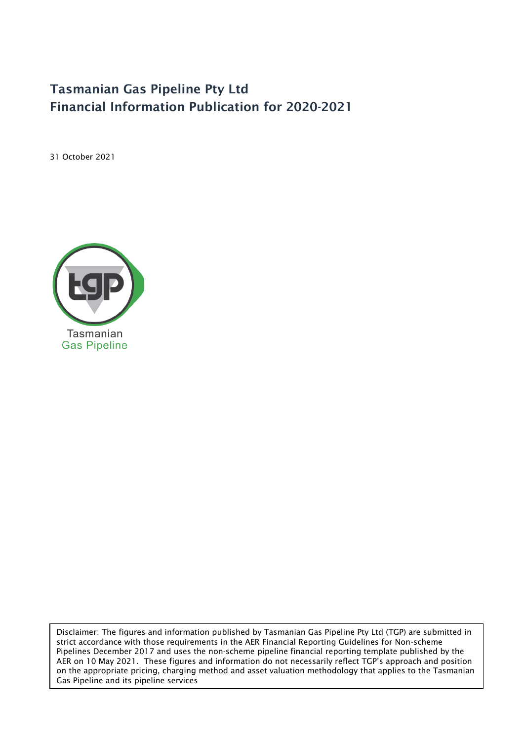# Tasmanian Gas Pipeline Pty Ltd Financial Information Publication for 2020-2021

31 October 2021



Disclaimer: The figures and information published by Tasmanian Gas Pipeline Pty Ltd (TGP) are submitted in strict accordance with those requirements in the AER Financial Reporting Guidelines for Non-scheme Pipelines December 2017 and uses the non-scheme pipeline financial reporting template published by the AER on 10 May 2021. These figures and information do not necessarily reflect TGP's approach and position on the appropriate pricing, charging method and asset valuation methodology that applies to the Tasmanian Gas Pipeline and its pipeline services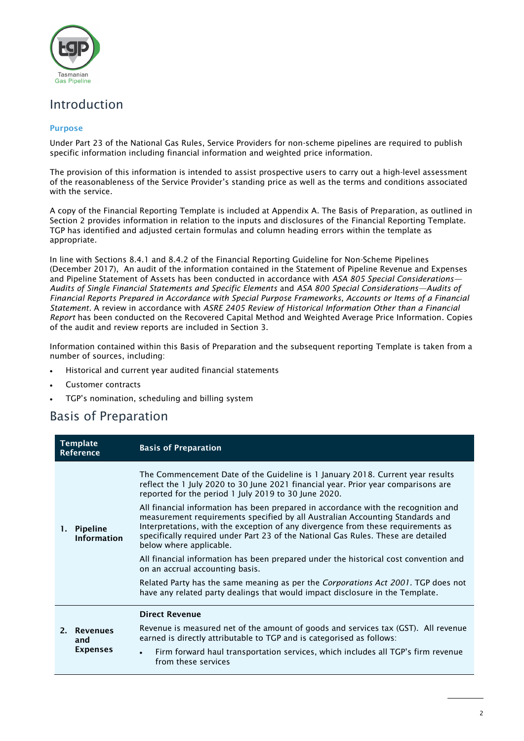

# Introduction

## Purpose

Under Part 23 of the National Gas Rules, Service Providers for non-scheme pipelines are required to publish specific information including financial information and weighted price information.

The provision of this information is intended to assist prospective users to carry out a high-level assessment of the reasonableness of the Service Provider's standing price as well as the terms and conditions associated with the service.

A copy of the Financial Reporting Template is included at Appendix A. The Basis of Preparation, as outlined in Section 2 provides information in relation to the inputs and disclosures of the Financial Reporting Template. TGP has identified and adjusted certain formulas and column heading errors within the template as appropriate.

In line with Sections 8.4.1 and 8.4.2 of the Financial Reporting Guideline for Non-Scheme Pipelines (December 2017), An audit of the information contained in the Statement of Pipeline Revenue and Expenses and Pipeline Statement of Assets has been conducted in accordance with *ASA 805 Special Considerations— Audits of Single Financial Statements and Specific Elements* and *ASA 800 Special Considerations—Audits of Financial Reports Prepared in Accordance with Special Purpose Frameworks, Accounts or Items of a Financial Statement.* A review in accordance with *ASRE 2405 Review of Historical Information Other than a Financial Report* has been conducted on the Recovered Capital Method and Weighted Average Price Information. Copies of the audit and review reports are included in Section 3.

Information contained within this Basis of Preparation and the subsequent reporting Template is taken from a number of sources, including:

- Historical and current year audited financial statements
- Customer contracts
- TGP's nomination, scheduling and billing system

# Basis of Preparation

| <b>Template</b><br>Reference |                                       | <b>Basis of Preparation</b>                                                                                                                                                                                                                                                                                                                                             |  |  |  |
|------------------------------|---------------------------------------|-------------------------------------------------------------------------------------------------------------------------------------------------------------------------------------------------------------------------------------------------------------------------------------------------------------------------------------------------------------------------|--|--|--|
|                              | Pipeline<br><b>Information</b>        | The Commencement Date of the Guideline is 1 January 2018. Current year results<br>reflect the 1 July 2020 to 30 June 2021 financial year. Prior year comparisons are<br>reported for the period 1 July 2019 to 30 June 2020.                                                                                                                                            |  |  |  |
| 1.                           |                                       | All financial information has been prepared in accordance with the recognition and<br>measurement requirements specified by all Australian Accounting Standards and<br>Interpretations, with the exception of any divergence from these requirements as<br>specifically required under Part 23 of the National Gas Rules. These are detailed<br>below where applicable. |  |  |  |
|                              |                                       | All financial information has been prepared under the historical cost convention and<br>on an accrual accounting basis.                                                                                                                                                                                                                                                 |  |  |  |
|                              |                                       | Related Party has the same meaning as per the <i>Corporations Act 2001</i> . TGP does not<br>have any related party dealings that would impact disclosure in the Template.                                                                                                                                                                                              |  |  |  |
|                              |                                       | <b>Direct Revenue</b>                                                                                                                                                                                                                                                                                                                                                   |  |  |  |
|                              | 2. Revenues<br>and<br><b>Expenses</b> | Revenue is measured net of the amount of goods and services tax (GST). All revenue<br>earned is directly attributable to TGP and is categorised as follows:                                                                                                                                                                                                             |  |  |  |
|                              |                                       | Firm forward haul transportation services, which includes all TGP's firm revenue<br>$\bullet$<br>from these services                                                                                                                                                                                                                                                    |  |  |  |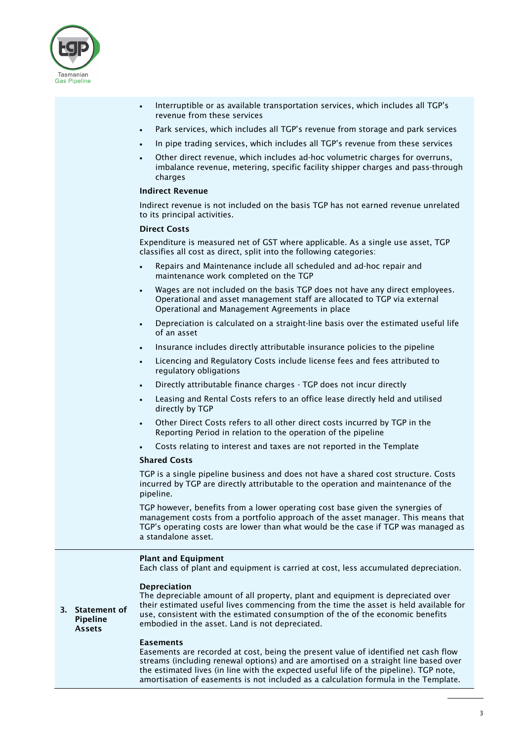

- Interruptible or as available transportation services, which includes all TGP's revenue from these services
- Park services, which includes all TGP's revenue from storage and park services
- In pipe trading services, which includes all TGP's revenue from these services
- Other direct revenue, which includes ad-hoc volumetric charges for overruns, imbalance revenue, metering, specific facility shipper charges and pass-through charges

### Indirect Revenue

Indirect revenue is not included on the basis TGP has not earned revenue unrelated to its principal activities.

#### Direct Costs

Expenditure is measured net of GST where applicable. As a single use asset, TGP classifies all cost as direct, split into the following categories:

- Repairs and Maintenance include all scheduled and ad-hoc repair and maintenance work completed on the TGP
- Wages are not included on the basis TGP does not have any direct employees. Operational and asset management staff are allocated to TGP via external Operational and Management Agreements in place
- Depreciation is calculated on a straight-line basis over the estimated useful life of an asset
- Insurance includes directly attributable insurance policies to the pipeline
- Licencing and Regulatory Costs include license fees and fees attributed to regulatory obligations
- Directly attributable finance charges TGP does not incur directly
- Leasing and Rental Costs refers to an office lease directly held and utilised directly by TGP
- Other Direct Costs refers to all other direct costs incurred by TGP in the Reporting Period in relation to the operation of the pipeline
- Costs relating to interest and taxes are not reported in the Template

### Shared Costs

TGP is a single pipeline business and does not have a shared cost structure. Costs incurred by TGP are directly attributable to the operation and maintenance of the pipeline.

TGP however, benefits from a lower operating cost base given the synergies of management costs from a portfolio approach of the asset manager. This means that TGP's operating costs are lower than what would be the case if TGP was managed as a standalone asset.

#### Plant and Equipment

Each class of plant and equipment is carried at cost, less accumulated depreciation.

### Depreciation

3. Statement of Pipeline Assets

The depreciable amount of all property, plant and equipment is depreciated over their estimated useful lives commencing from the time the asset is held available for use, consistent with the estimated consumption of the of the economic benefits embodied in the asset. Land is not depreciated.

#### Easements

Easements are recorded at cost, being the present value of identified net cash flow streams (including renewal options) and are amortised on a straight line based over the estimated lives (in line with the expected useful life of the pipeline). TGP note, amortisation of easements is not included as a calculation formula in the Template.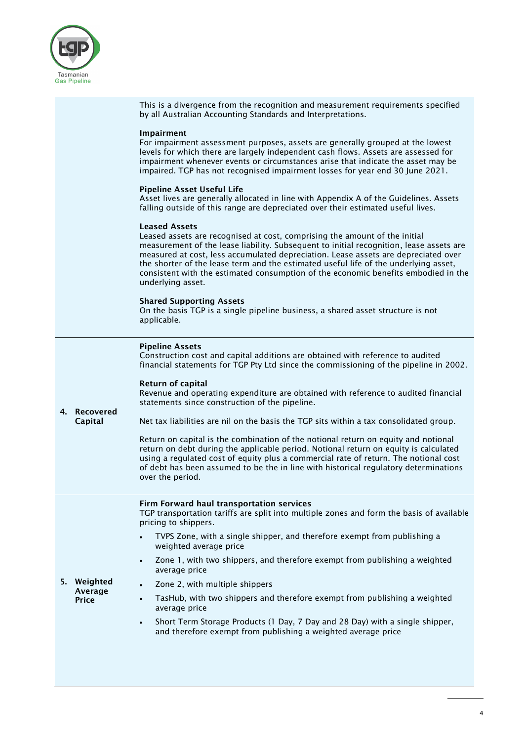

This is a divergence from the recognition and measurement requirements specified by all Australian Accounting Standards and Interpretations.

### Impairment

For impairment assessment purposes, assets are generally grouped at the lowest levels for which there are largely independent cash flows. Assets are assessed for impairment whenever events or circumstances arise that indicate the asset may be impaired. TGP has not recognised impairment losses for year end 30 June 2021.

### Pipeline Asset Useful Life

Asset lives are generally allocated in line with Appendix A of the Guidelines. Assets falling outside of this range are depreciated over their estimated useful lives.

### Leased Assets

Leased assets are recognised at cost, comprising the amount of the initial measurement of the lease liability. Subsequent to initial recognition, lease assets are measured at cost, less accumulated depreciation. Lease assets are depreciated over the shorter of the lease term and the estimated useful life of the underlying asset, consistent with the estimated consumption of the economic benefits embodied in the underlying asset.

### Shared Supporting Assets

On the basis TGP is a single pipeline business, a shared asset structure is not applicable.

|  |  | <b>Pipeline Assets</b> |  |
|--|--|------------------------|--|
|  |  |                        |  |

Construction cost and capital additions are obtained with reference to audited financial statements for TGP Pty Ltd since the commissioning of the pipeline in 2002.

#### Return of capital

Revenue and operating expenditure are obtained with reference to audited financial statements since construction of the pipeline.

4. Recovered Capital

Price

Net tax liabilities are nil on the basis the TGP sits within a tax consolidated group.

Return on capital is the combination of the notional return on equity and notional return on debt during the applicable period. Notional return on equity is calculated using a regulated cost of equity plus a commercial rate of return. The notional cost of debt has been assumed to be the in line with historical regulatory determinations over the period.

# Firm Forward haul transportation services

TGP transportation tariffs are split into multiple zones and form the basis of available pricing to shippers.

- TVPS Zone, with a single shipper, and therefore exempt from publishing a weighted average price
- Zone 1, with two shippers, and therefore exempt from publishing a weighted average price
- 5. Weighted Average • Zone 2, with multiple shippers
	- TasHub, with two shippers and therefore exempt from publishing a weighted average price
		- Short Term Storage Products (1 Day, 7 Day and 28 Day) with a single shipper, and therefore exempt from publishing a weighted average price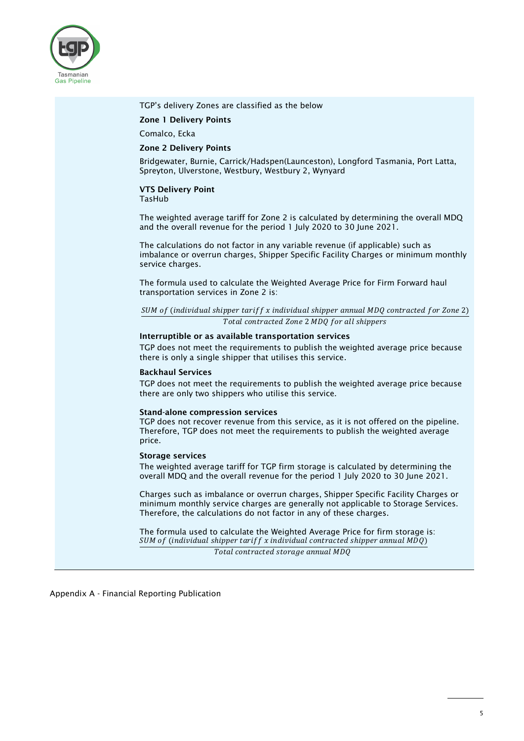

| TGP's delivery Zones are classified as the below                                                                                                                                                                                              |
|-----------------------------------------------------------------------------------------------------------------------------------------------------------------------------------------------------------------------------------------------|
| <b>Zone 1 Delivery Points</b>                                                                                                                                                                                                                 |
| Comalco, Ecka                                                                                                                                                                                                                                 |
| <b>Zone 2 Delivery Points</b>                                                                                                                                                                                                                 |
| Bridgewater, Burnie, Carrick/Hadspen(Launceston), Longford Tasmania, Port Latta,<br>Spreyton, Ulverstone, Westbury, Westbury 2, Wynyard                                                                                                       |
| <b>VTS Delivery Point</b><br><b>TasHub</b>                                                                                                                                                                                                    |
| The weighted average tariff for Zone 2 is calculated by determining the overall MDQ<br>and the overall revenue for the period 1 July 2020 to 30 June 2021.                                                                                    |
| The calculations do not factor in any variable revenue (if applicable) such as<br>imbalance or overrun charges, Shipper Specific Facility Charges or minimum monthly<br>service charges.                                                      |
| The formula used to calculate the Weighted Average Price for Firm Forward haul<br>transportation services in Zone 2 is:                                                                                                                       |
| SUM of (individual shipper tariff x individual shipper annual MDQ contracted for Zone 2)                                                                                                                                                      |
| Total contracted Zone 2 MDQ for all shippers                                                                                                                                                                                                  |
| Interruptible or as available transportation services<br>TGP does not meet the requirements to publish the weighted average price because<br>there is only a single shipper that utilises this service.                                       |
| <b>Backhaul Services</b>                                                                                                                                                                                                                      |
| TGP does not meet the requirements to publish the weighted average price because<br>there are only two shippers who utilise this service.                                                                                                     |
| <b>Stand-alone compression services</b><br>TGP does not recover revenue from this service, as it is not offered on the pipeline.<br>Therefore, TGP does not meet the requirements to publish the weighted average<br>price.                   |
| <b>Storage services</b>                                                                                                                                                                                                                       |
| The weighted average tariff for TGP firm storage is calculated by determining the<br>overall MDQ and the overall revenue for the period 1 July 2020 to 30 June 2021.                                                                          |
| Charges such as imbalance or overrun charges, Shipper Specific Facility Charges or<br>minimum monthly service charges are generally not applicable to Storage Services.<br>Therefore, the calculations do not factor in any of these charges. |
| The formula used to calculate the Weighted Average Price for firm storage is:                                                                                                                                                                 |

SUM of (individual shipper tariff x individual contracted shipper annual MDQ) Total contracted storage annual MDQ

Appendix A - Financial Reporting Publication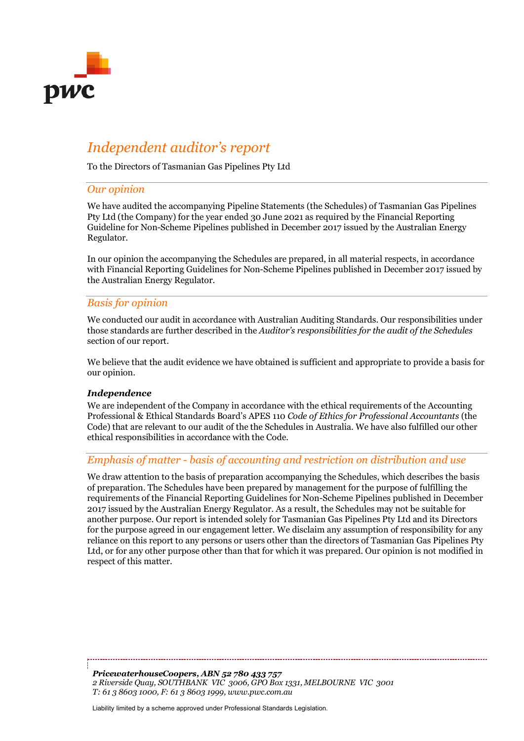

# *Independent auditor's report*

To the Directors of Tasmanian Gas Pipelines Pty Ltd

## *Our opinion*

We have audited the accompanying Pipeline Statements (the Schedules) of Tasmanian Gas Pipelines Pty Ltd (the Company) for the year ended 30 June 2021 as required by the Financial Reporting Guideline for Non-Scheme Pipelines published in December 2017 issued by the Australian Energy Regulator.

In our opinion the accompanying the Schedules are prepared, in all material respects, in accordance with Financial Reporting Guidelines for Non-Scheme Pipelines published in December 2017 issued by the Australian Energy Regulator.

## *Basis for opinion*

We conducted our audit in accordance with Australian Auditing Standards. Our responsibilities under those standards are further described in the *Auditor's responsibilities for the audit of the Schedules* section of our report.

We believe that the audit evidence we have obtained is sufficient and appropriate to provide a basis for our opinion.

## *Independence*

We are independent of the Company in accordance with the ethical requirements of the Accounting Professional & Ethical Standards Board's APES 110 *Code of Ethics for Professional Accountants* (the Code) that are relevant to our audit of the the Schedules in Australia. We have also fulfilled our other ethical responsibilities in accordance with the Code.

## *Emphasis of matter - basis of accounting and restriction on distribution and use*

We draw attention to the basis of preparation accompanying the Schedules, which describes the basis of preparation. The Schedules have been prepared by management for the purpose of fulfilling the requirements of the Financial Reporting Guidelines for Non-Scheme Pipelines published in December 2017 issued by the Australian Energy Regulator. As a result, the Schedules may not be suitable for another purpose. Our report is intended solely for Tasmanian Gas Pipelines Pty Ltd and its Directors for the purpose agreed in our engagement letter. We disclaim any assumption of responsibility for any reliance on this report to any persons or users other than the directors of Tasmanian Gas Pipelines Pty Ltd, or for any other purpose other than that for which it was prepared. Our opinion is not modified in respect of this matter.

*PricewaterhouseCoopers, ABN 52 780 433 757 2 Riverside Quay, SOUTHBANK VIC 3006, GPO Box 1331, MELBOURNE VIC 3001 T: 61 3 8603 1000, F: 61 3 8603 1999, www.pwc.com.au*

Liability limited by a scheme approved under Professional Standards Legislation.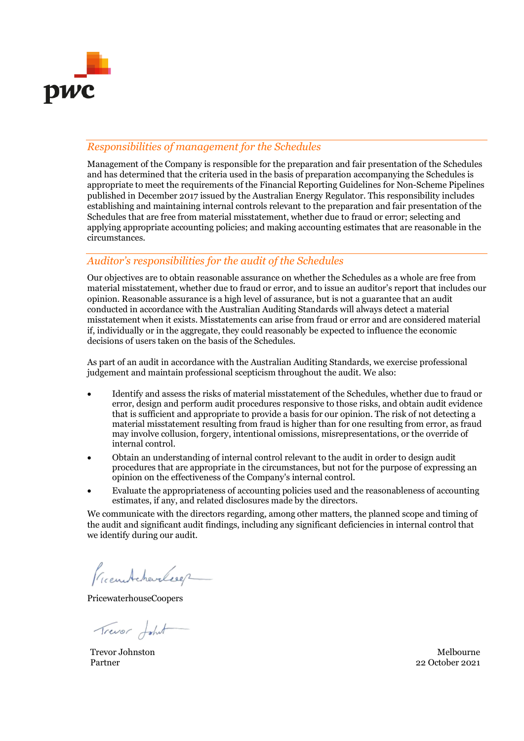

# *Responsibilities of management for the Schedules*

Management of the Company is responsible for the preparation and fair presentation of the Schedules and has determined that the criteria used in the basis of preparation accompanying the Schedules is appropriate to meet the requirements of the Financial Reporting Guidelines for Non-Scheme Pipelines published in December 2017 issued by the Australian Energy Regulator. This responsibility includes establishing and maintaining internal controls relevant to the preparation and fair presentation of the Schedules that are free from material misstatement, whether due to fraud or error; selecting and applying appropriate accounting policies; and making accounting estimates that are reasonable in the circumstances.

## *Auditor's responsibilities for the audit of the Schedules*

Our objectives are to obtain reasonable assurance on whether the Schedules as a whole are free from material misstatement, whether due to fraud or error, and to issue an auditor's report that includes our opinion. Reasonable assurance is a high level of assurance, but is not a guarantee that an audit conducted in accordance with the Australian Auditing Standards will always detect a material misstatement when it exists. Misstatements can arise from fraud or error and are considered material if, individually or in the aggregate, they could reasonably be expected to influence the economic decisions of users taken on the basis of the Schedules.

As part of an audit in accordance with the Australian Auditing Standards, we exercise professional judgement and maintain professional scepticism throughout the audit. We also:

- Identify and assess the risks of material misstatement of the Schedules, whether due to fraud or error, design and perform audit procedures responsive to those risks, and obtain audit evidence that is sufficient and appropriate to provide a basis for our opinion. The risk of not detecting a material misstatement resulting from fraud is higher than for one resulting from error, as fraud may involve collusion, forgery, intentional omissions, misrepresentations, or the override of internal control.
- Obtain an understanding of internal control relevant to the audit in order to design audit procedures that are appropriate in the circumstances, but not for the purpose of expressing an opinion on the effectiveness of the Company's internal control.
- Evaluate the appropriateness of accounting policies used and the reasonableness of accounting estimates, if any, and related disclosures made by the directors.

We communicate with the directors regarding, among other matters, the planned scope and timing of the audit and significant audit findings, including any significant deficiencies in internal control that we identify during our audit.

Preentcharleser

PricewaterhouseCoopers

Trever Johnt

Trevor Johnston Melbourne Partner 2021 22 October 2021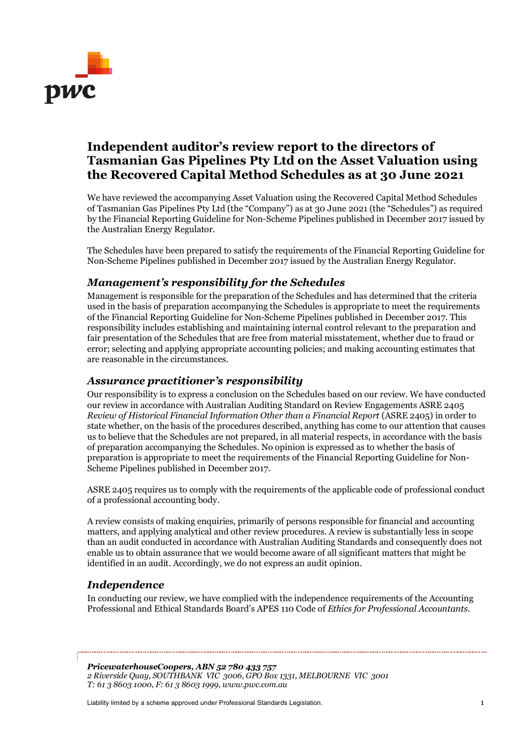

# **Independent auditor's review report to the directors of Tasmanian Gas Pipelines Pty Ltd on the Asset Valuation using the Recovered Capital Method Schedules as at 30 June 2021**

We have reviewed the accompanying Asset Valuation using the Recovered Capital Method Schedules of Tasmanian Gas Pipelines Pty Ltd (the "Company") as at 30 June 2021 (the "Schedules") as required by the Financial Reporting Guideline for Non-Scheme Pipelines published in December 2017 issued by the Australian Energy Regulator.

The Schedules have been prepared to satisfy the requirements of the Financial Reporting Guideline for Non-Scheme Pipelines published in December 2017 issued by the Australian Energy Regulator.

# *Management's responsibility for the Schedules*

Management is responsible for the preparation of the Schedules and has determined that the criteria used in the basis of preparation accompanying the Schedules is appropriate to meet the requirements of the Financial Reporting Guideline for Non-Scheme Pipelines published in December 2017. This responsibility includes establishing and maintaining internal control relevant to the preparation and fair presentation of the Schedules that are free from material misstatement, whether due to fraud or error; selecting and applying appropriate accounting policies; and making accounting estimates that are reasonable in the circumstances.

## *Assurance practitioner's responsibility*

Our responsibility is to express a conclusion on the Schedules based on our review. We have conducted our review in accordance with Australian Auditing Standard on Review Engagements ASRE 2405 *Review of Historical Financial Information Other than a Financial Report* (ASRE 2405) in order to state whether, on the basis of the procedures described, anything has come to our attention that causes us to believe that the Schedules are not prepared, in all material respects, in accordance with the basis of preparation accompanying the Schedules. No opinion is expressed as to whether the basis of preparation is appropriate to meet the requirements of the Financial Reporting Guideline for Non-Scheme Pipelines published in December 2017.

ASRE 2405 requires us to comply with the requirements of the applicable code of professional conduct of a professional accounting body.

A review consists of making enquiries, primarily of persons responsible for financial and accounting matters, and applying analytical and other review procedures. A review is substantially less in scope than an audit conducted in accordance with Australian Auditing Standards and consequently does not enable us to obtain assurance that we would become aware of all significant matters that might be identified in an audit. Accordingly, we do not express an audit opinion.

# *Independence*

In conducting our review, we have complied with the independence requirements of the Accounting Professional and Ethical Standards Board's APES 110 Code of *Ethics for Professional Accountants.*

*PricewaterhouseCoopers, ABN 52 780 433 757 2 Riverside Quay, SOUTHBANK VIC 3006, GPO Box 1331, MELBOURNE VIC 3001 T: 61 3 8603 1000, F: 61 3 8603 1999, www.pwc.com.au*

Liability limited by a scheme approved under Professional Standards Legislation. 1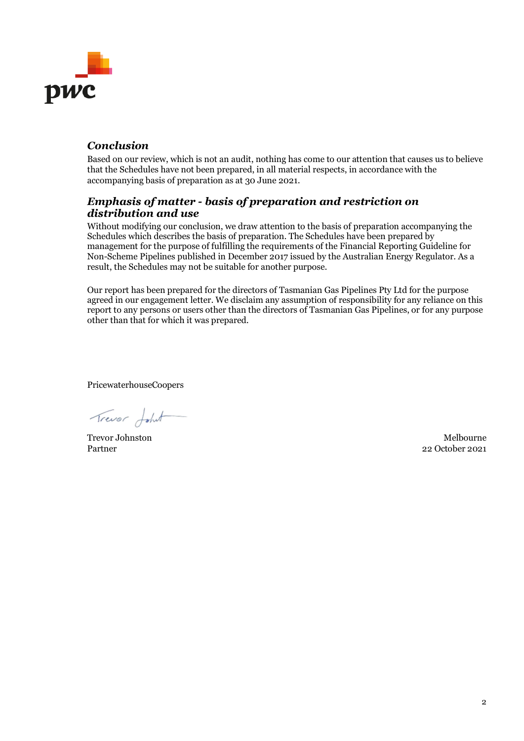

# *Conclusion*

Based on our review, which is not an audit, nothing has come to our attention that causes us to believe that the Schedules have not been prepared, in all material respects, in accordance with the accompanying basis of preparation as at 30 June 2021.

## *Emphasis of matter - basis of preparation and restriction on distribution and use*

Without modifying our conclusion, we draw attention to the basis of preparation accompanying the Schedules which describes the basis of preparation. The Schedules have been prepared by management for the purpose of fulfilling the requirements of the Financial Reporting Guideline for Non-Scheme Pipelines published in December 2017 issued by the Australian Energy Regulator. As a result, the Schedules may not be suitable for another purpose.

Our report has been prepared for the directors of Tasmanian Gas Pipelines Pty Ltd for the purpose agreed in our engagement letter. We disclaim any assumption of responsibility for any reliance on this report to any persons or users other than the directors of Tasmanian Gas Pipelines, or for any purpose other than that for which it was prepared.

PricewaterhouseCoopers

Trever Johnt

Trevor Johnston Melbourne 22 October 2021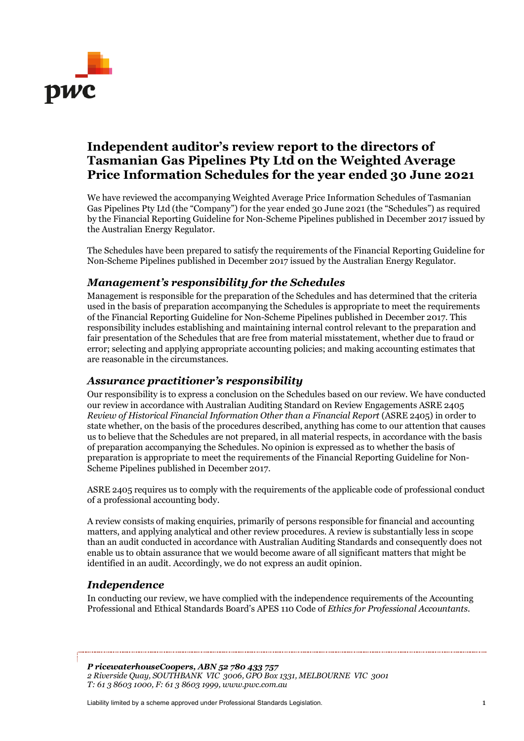

# **Independent auditor's review report to the directors of Tasmanian Gas Pipelines Pty Ltd on the Weighted Average Price Information Schedules for the year ended 30 June 2021**

We have reviewed the accompanying Weighted Average Price Information Schedules of Tasmanian Gas Pipelines Pty Ltd (the "Company") for the year ended 30 June 2021 (the "Schedules") as required by the Financial Reporting Guideline for Non-Scheme Pipelines published in December 2017 issued by the Australian Energy Regulator.

The Schedules have been prepared to satisfy the requirements of the Financial Reporting Guideline for Non-Scheme Pipelines published in December 2017 issued by the Australian Energy Regulator.

# *Management's responsibility for the Schedules*

Management is responsible for the preparation of the Schedules and has determined that the criteria used in the basis of preparation accompanying the Schedules is appropriate to meet the requirements of the Financial Reporting Guideline for Non-Scheme Pipelines published in December 2017. This responsibility includes establishing and maintaining internal control relevant to the preparation and fair presentation of the Schedules that are free from material misstatement, whether due to fraud or error; selecting and applying appropriate accounting policies; and making accounting estimates that are reasonable in the circumstances.

## *Assurance practitioner's responsibility*

Our responsibility is to express a conclusion on the Schedules based on our review. We have conducted our review in accordance with Australian Auditing Standard on Review Engagements ASRE 2405 *Review of Historical Financial Information Other than a Financial Report* (ASRE 2405) in order to state whether, on the basis of the procedures described, anything has come to our attention that causes us to believe that the Schedules are not prepared, in all material respects, in accordance with the basis of preparation accompanying the Schedules. No opinion is expressed as to whether the basis of preparation is appropriate to meet the requirements of the Financial Reporting Guideline for Non-Scheme Pipelines published in December 2017.

ASRE 2405 requires us to comply with the requirements of the applicable code of professional conduct of a professional accounting body.

A review consists of making enquiries, primarily of persons responsible for financial and accounting matters, and applying analytical and other review procedures. A review is substantially less in scope than an audit conducted in accordance with Australian Auditing Standards and consequently does not enable us to obtain assurance that we would become aware of all significant matters that might be identified in an audit. Accordingly, we do not express an audit opinion.

# *Independence*

In conducting our review, we have complied with the independence requirements of the Accounting Professional and Ethical Standards Board's APES 110 Code of *Ethics for Professional Accountants.*

*P ricewaterhouseCoopers, ABN 52 780 433 757 2 Riverside Quay, SOUTHBANK VIC 3006, GPO Box 1331, MELBOURNE VIC 3001 T: 61 3 8603 1000, F: 61 3 8603 1999, www.pwc.com.au*